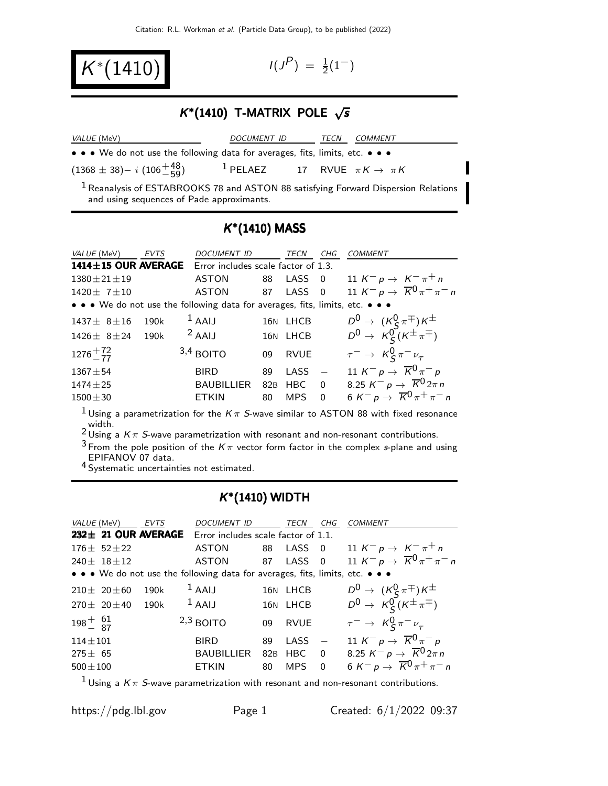$K^*(1410)$   $1^{(j)}$ 

 $P$ ) =  $\frac{1}{2}(1^{-})$ 

# $K^*(1410)$  T-MATRIX POLE  $\sqrt{s}$

| <i>VALUE</i> (MeV)                                                                                                                         | <i>DOCUMENT ID</i>                                    | TECN | <b>COMMENT</b> |
|--------------------------------------------------------------------------------------------------------------------------------------------|-------------------------------------------------------|------|----------------|
| • • • We do not use the following data for averages, fits, limits, etc. • • •                                                              |                                                       |      |                |
| $(1368 \pm 38) - i (106^{+48}_{-59})$                                                                                                      | <sup>1</sup> PELAEZ 17 RVUE $\pi K \rightarrow \pi K$ |      |                |
| <sup>1</sup> Reanalysis of ESTABROOKS 78 and ASTON 88 satisfying Forward Dispersion Relations<br>and using sequences of Pade approximants. |                                                       |      |                |

# K ∗ (1410) MASS

| VALUE (MeV)               | <b>EVTS</b> | <b>DOCUMENT ID</b>                                                            |     | TECN        | CHG            | <i>COMMENT</i>                                                                             |
|---------------------------|-------------|-------------------------------------------------------------------------------|-----|-------------|----------------|--------------------------------------------------------------------------------------------|
| $1414 \pm 15$ OUR AVERAGE |             | Error includes scale factor of 1.3.                                           |     |             |                |                                                                                            |
| $1380 \pm 21 \pm 19$      |             | <b>ASTON</b>                                                                  | 88  | LASS        | $\overline{0}$ | 11 $K^- p \to K^- \pi^+ n$                                                                 |
| $1420 \pm 7 \pm 10$       |             | <b>ASTON</b>                                                                  | 87  | $LASS$ 0    |                | 11 K <sup>-</sup> p $\rightarrow \overline{K}^0 \pi^+ \pi^-$ n                             |
|                           |             | • • • We do not use the following data for averages, fits, limits, etc. • • • |     |             |                |                                                                                            |
| $1437 \pm 8 \pm 16$       | 190k        | $1$ AAIJ                                                                      |     | 16N LHCB    |                |                                                                                            |
| $1426 \pm 8 \pm 24$       | 190k        | $2$ AAIJ                                                                      |     | 16N LHCB    |                | $D^0 \rightarrow (K_S^0 \pi^{\pm}) K^{\pm}$<br>$D^0 \rightarrow K_S^0 (K^{\pm} \pi^{\mp})$ |
| $1276 + 72 \over 77$      |             | $3,4$ BOITO                                                                   | 09  | <b>RVUE</b> |                | $\tau^ \rightarrow$ $K_S^0 \pi^- \nu_\tau$                                                 |
| $1367 + 54$               |             | <b>BIRD</b>                                                                   | 89  | <b>LASS</b> |                | 11 K <sup>-</sup> p $\rightarrow \overline{K}^0 \pi^-$ p                                   |
| $1474 \pm 25$             |             | <b>BAUBILLIER</b>                                                             | 82B | <b>HBC</b>  | $\overline{0}$ | 8.25 $K^- p \rightarrow \overline{K}^0 2\pi n$                                             |
| $1500 \pm 30$             |             | <b>ETKIN</b>                                                                  | 80  | <b>MPS</b>  | $\Omega$       | 6 K <sup>-</sup> p $\rightarrow \overline{K}^0 \pi^+ \pi^-$ n                              |

<sup>1</sup> Using a parametrization for the  $K\pi$  S-wave similar to ASTON 88 with fixed resonance

width.<br><sup>2</sup> Using a Kπ *S*-wave parametrization with resonant and non-resonant contributions.

 $3$  From the pole position of the  $K\pi$  vector form factor in the complex s-plane and using EPIFANOV 07 data.

4 Systematic uncertainties not estimated.

# K ∗ (1410) WIDTH

| <i>VALUE</i> (MeV)         |                          | <b>EVTS</b> | <b>DOCUMENT ID</b>                                                                                                    |                 | <b>TECN</b> | CHG                     | <b>COMMENT</b>                                                 |
|----------------------------|--------------------------|-------------|-----------------------------------------------------------------------------------------------------------------------|-----------------|-------------|-------------------------|----------------------------------------------------------------|
|                            | $232 \pm 21$ OUR AVERAGE |             | Error includes scale factor of 1.1.                                                                                   |                 |             |                         |                                                                |
|                            | $176 \pm 52 \pm 22$      |             | <b>ASTON</b>                                                                                                          | 88              | $LASS$ 0    |                         | 11 $K^- p \to K^- \pi^+ n$                                     |
|                            | 240 $\pm$ 18 $\pm$ 12    |             | <b>ASTON</b>                                                                                                          | 87              | $LASS$ 0    |                         | 11 K <sup>-</sup> p $\rightarrow \overline{K}^0 \pi^+ \pi^-$ n |
|                            |                          |             | $\bullet \bullet \bullet$ We do not use the following data for averages, fits, limits, etc. $\bullet \bullet \bullet$ |                 |             |                         |                                                                |
|                            | $210 \pm 20 \pm 60$      | 190k        | $1$ AAIJ                                                                                                              |                 | 16N LHCB    |                         | $D^0 \rightarrow (K^0_S \pi^{\mp}) K^{\pm}$                    |
|                            | $270 \pm 20 \pm 40$      | 190k        | $1$ AAIJ                                                                                                              |                 | 16N LHCB    |                         | $D^0 \rightarrow K_S^0(K^{\pm} \pi^{\mp})$                     |
| $198^{+}_{-}$ $^{61}_{87}$ |                          |             | $2,3$ BOITO                                                                                                           | 09              | <b>RVUE</b> |                         | $\tau^ \rightarrow$ $K_S^0 \pi^- \nu_\tau$                     |
| $114 \pm 101$              |                          |             | <b>BIRD</b>                                                                                                           | 89              | $LASS -$    |                         | 11 K <sup>-</sup> p $\rightarrow \overline{K}^0 \pi^- p$       |
| $275 \pm 65$               |                          |             | <b>BAUBILLIER</b>                                                                                                     | 82 <sub>B</sub> | <b>HBC</b>  | $\overline{\mathbf{0}}$ | 8.25 $K^- p \to \overline{K}^0 2\pi n$                         |
| $500 \pm 100$              |                          |             | <b>ETKIN</b>                                                                                                          | 80              | <b>MPS</b>  | $\Omega$                | 6 K <sup>-</sup> p $\rightarrow \overline{K}^0 \pi^+ \pi^-$ n  |
|                            |                          |             |                                                                                                                       |                 |             |                         |                                                                |

<sup>1</sup> Using a  $K\pi$  S-wave parametrization with resonant and non-resonant contributions.

https://pdg.lbl.gov Page 1 Created: 6/1/2022 09:37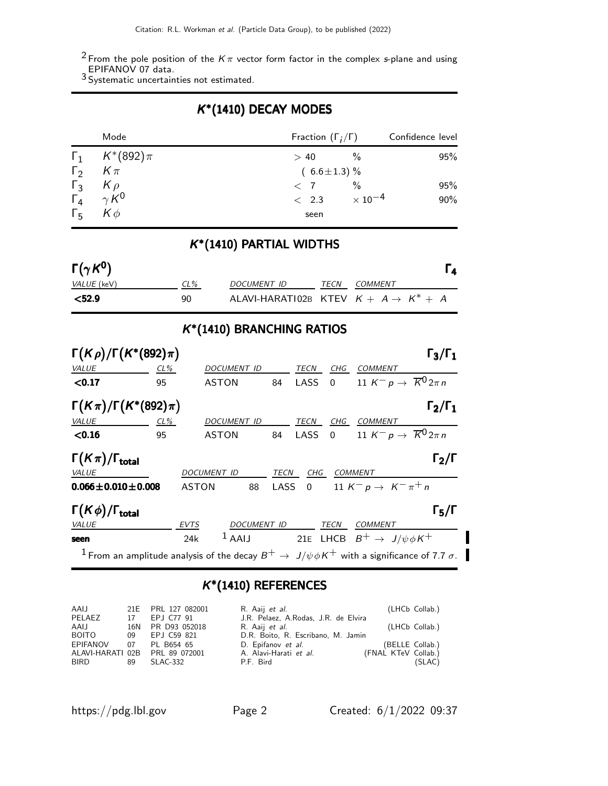$^2$  From the pole position of the  $K\pi$  vector form factor in the complex s-plane and using

EPIFANOV 07 data.<br><sup>3</sup> Systematic uncertainties not estimated.

# K ∗ (1410) DECAY MODES

|                     | Mode                                        | Fraction $(\Gamma_i/\Gamma)$ |      | Confidence level |
|---------------------|---------------------------------------------|------------------------------|------|------------------|
|                     | $\Gamma_1$ $K^*(892)\pi$                    | >40                          | $\%$ | 95%              |
|                     | $\Gamma_2$ $K \pi$                          | $(6.6 \pm 1.3)\%$            |      |                  |
| $\Gamma_3$ $K \rho$ |                                             | $\langle$ 7                  | $\%$ | 95%              |
|                     | $\overline{\Gamma}_4 \gamma \overline{K}^0$ | $< 2.3 \times 10^{-4}$       |      | 90%              |
| $\Gamma_{5}$        | $K\phi$                                     | seen                         |      |                  |

# K ∗ (1410) PARTIAL WIDTHS

| $\Gamma(\gamma K^0)$ |        |                                                  |      |         |  |
|----------------------|--------|--------------------------------------------------|------|---------|--|
| <i>VALUE</i> (keV)   | $CL\%$ | DOCUMENT ID                                      | TECN | COMMENT |  |
| $<$ 52.9             | 90     | ALAVI-HARATI02B KTEV $K + A \rightarrow K^* + A$ |      |         |  |

# K ∗ (1410) BRANCHING RATIOS

| $\Gamma(K\rho)/\Gamma(K^*(892)\pi)$                                                                                       |     |              |                    |      |        |                |                                                              | $\Gamma_3/\Gamma_1$ |
|---------------------------------------------------------------------------------------------------------------------------|-----|--------------|--------------------|------|--------|----------------|--------------------------------------------------------------|---------------------|
| VALUE                                                                                                                     | CL% |              | DOCUMENT ID        |      | TECN   | CHG            | <b>COMMENT</b>                                               |                     |
| < 0.17                                                                                                                    | 95  |              | <b>ASTON</b>       | 84   | LASS   | $\overline{0}$ | 11 K <sup>-</sup> p $\rightarrow \overline{K}^0 2\pi n$      |                     |
| $\Gamma(K\pi)/\Gamma(K^*(892)\pi)$                                                                                        |     |              |                    |      |        |                |                                                              | $\Gamma_2/\Gamma_1$ |
| VALUE                                                                                                                     | CL% |              | <b>DOCUMENT ID</b> |      | TECN   | CHG            | <b>COMMENT</b>                                               |                     |
| < 0.16                                                                                                                    | 95  |              | <b>ASTON</b>       | 84   | LASS 0 |                | 11 K <sup>-</sup> p $\rightarrow \overline{K}^0 2\pi n$      |                     |
| $\Gamma(K\pi)/\Gamma_{\rm total}$                                                                                         |     |              |                    |      |        |                |                                                              | $\Gamma_2/\Gamma$   |
| VALUE                                                                                                                     |     | DOCUMENT ID  |                    | TECN | CHG    |                | <b>COMMENT</b>                                               |                     |
| $0.066 \pm 0.010 \pm 0.008$                                                                                               |     | <b>ASTON</b> | 88                 |      |        |                | LASS 0 11 $K^- p \to K^- \pi^+ n$                            |                     |
| $\Gamma(K\phi)/\Gamma_{\rm total}$                                                                                        |     |              |                    |      |        |                |                                                              | $\Gamma_5/\Gamma$   |
| VALUE                                                                                                                     |     | EVTS         | DOCUMENT ID        |      |        | TECN           | <b>COMMENT</b>                                               |                     |
| seen                                                                                                                      |     | 24k          |                    |      |        |                | <sup>1</sup> AAIJ 21E LHCB $B^+ \rightarrow J/\psi \phi K^+$ |                     |
| $^{-1}$ From an amplitude analysis of the decay $B^+ \to \ J/\psi \phi K^+$ with a significance of 7.7 $\sigma$ . $^{-1}$ |     |              |                    |      |        |                |                                                              |                     |

# K ∗ (1410) REFERENCES

| AAIJ         |    | 21E PRL 127 082001              | R. Aaij <i>et al.</i>                |                     | (LHCb Collab.)  |
|--------------|----|---------------------------------|--------------------------------------|---------------------|-----------------|
| PELAEZ       | 17 | EPJ C77 91                      | J.R. Pelaez, A.Rodas, J.R. de Elvira |                     |                 |
| AAIJ         |    | 16N PR D93 052018               | R. Aaij <i>et al.</i>                |                     | (LHCb Collab.)  |
| <b>BOITO</b> | 09 | EPJ C59 821                     | D.R. Boito, R. Escribano, M. Jamin   |                     |                 |
| EPIFANOV     | 07 | PL B654 65                      | D. Epifanov et al.                   |                     | (BELLE Collab.) |
|              |    | ALAVI-HARATI 02B  PRL 89 072001 | A. Alavi-Harati et al.               | (FNAL KTeV Collab.) |                 |
| BIRD         | 89 | SLAC-332                        | P.F. Bird                            |                     | (SLAC)          |
|              |    |                                 |                                      |                     |                 |